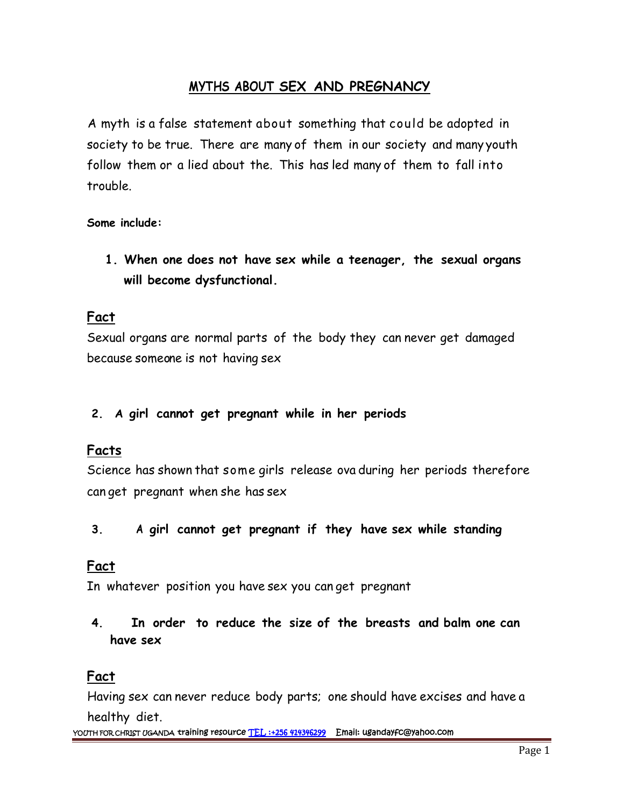## **MYTHS ABOUT SEX AND PREGNANCY**

A myth is a false statement about something that could be adopted in society to be true. There are many of them in our society and many youth follow them or a lied about the. This has led many of them to fall into trouble.

**Some include:**

**1. When one does not have sex while a teenager, the sexual organs will become dysfunctional.**

#### **Fact**

Sexual organs are normal parts of the body they can never get damaged because someone is not having sex

#### **2. A girl cannot get pregnant while in her periods**

### **Facts**

Science has shown that some girls release ova during her periods therefore can get pregnant when she has sex

**3. A girl cannot get pregnant if they have sex while standing**

### **Fact**

In whatever position you have sex you can get pregnant

**4. In order to reduce the size of the breasts and balm one can have sex**

## **Fact**

Having sex can never reduce body parts; one should have excises and have a healthy diet.

**YOUTH FOR CHRIST UGANDA training resource TEL :+256 414346299 Email: ugandayfc@yahoo.com**